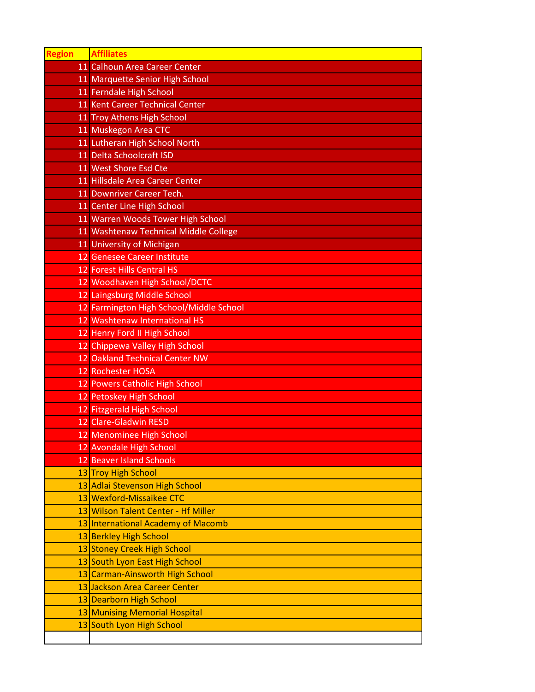| <b>Region</b> | <b>Affiliates</b>                       |
|---------------|-----------------------------------------|
|               | 11 Calhoun Area Career Center           |
|               | 11 Marquette Senior High School         |
|               | 11 Ferndale High School                 |
|               | 11 Kent Career Technical Center         |
|               | 11 Troy Athens High School              |
|               | 11 Muskegon Area CTC                    |
|               | 11 Lutheran High School North           |
|               | 11 Delta Schoolcraft ISD                |
|               | 11 West Shore Esd Cte                   |
|               | 11 Hillsdale Area Career Center         |
|               | 11 Downriver Career Tech.               |
|               | 11 Center Line High School              |
|               | 11 Warren Woods Tower High School       |
|               | 11 Washtenaw Technical Middle College   |
|               | 11 University of Michigan               |
|               | 12 Genesee Career Institute             |
|               | 12 Forest Hills Central HS              |
|               | 12 Woodhaven High School/DCTC           |
|               | 12 Laingsburg Middle School             |
|               | 12 Farmington High School/Middle School |
|               | 12 Washtenaw International HS           |
|               | 12 Henry Ford II High School            |
|               | 12 Chippewa Valley High School          |
|               | 12 Oakland Technical Center NW          |
|               | 12 Rochester HOSA                       |
|               | 12 Powers Catholic High School          |
|               | 12 Petoskey High School                 |
|               | 12 Fitzgerald High School               |
|               | 12 Clare-Gladwin RESD                   |
|               | 12 Menominee High School                |
|               | 12 Avondale High School                 |
|               | 12 Beaver Island Schools                |
|               | 13 Troy High School                     |
|               | 13 Adlai Stevenson High School          |
|               | 13 Wexford-Missaikee CTC                |
|               | 13 Wilson Talent Center - Hf Miller     |
|               | 13 International Academy of Macomb      |
|               | 13 Berkley High School                  |
|               | 13 Stoney Creek High School             |
|               | 13 South Lyon East High School          |
|               | 13 Carman-Ainsworth High School         |
|               | 13 Jackson Area Career Center           |
|               | 13 Dearborn High School                 |
|               | 13 Munising Memorial Hospital           |
|               | 13 South Lyon High School               |
|               |                                         |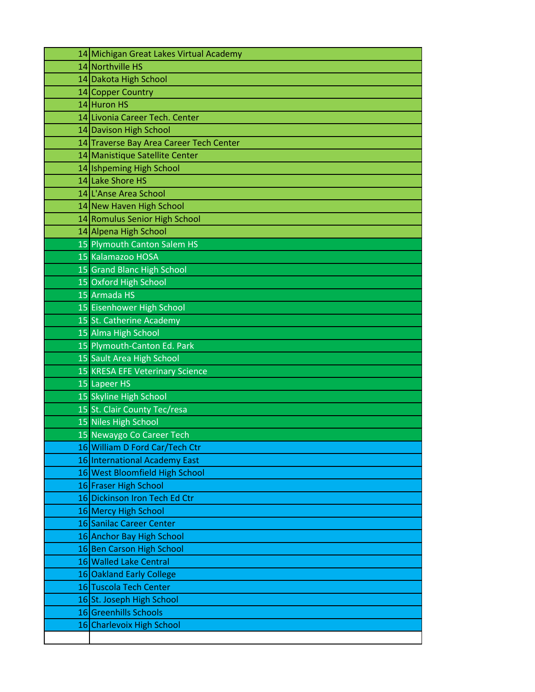| 14 Michigan Great Lakes Virtual Academy |
|-----------------------------------------|
| 14 Northville HS                        |
| 14 Dakota High School                   |
| 14 Copper Country                       |
| 14 Huron HS                             |
| 14 Livonia Career Tech. Center          |
| 14 Davison High School                  |
| 14 Traverse Bay Area Career Tech Center |
| 14 Manistique Satellite Center          |
| 14 Ishpeming High School                |
| 14 Lake Shore HS                        |
| 14 L'Anse Area School                   |
| 14 New Haven High School                |
| 14 Romulus Senior High School           |
| 14 Alpena High School                   |
| 15 Plymouth Canton Salem HS             |
| 15 Kalamazoo HOSA                       |
| <b>15 Grand Blanc High School</b>       |
| 15 Oxford High School                   |
| 15 Armada HS                            |
| 15 Eisenhower High School               |
| 15 St. Catherine Academy                |
| 15 Alma High School                     |
| 15 Plymouth-Canton Ed. Park             |
| 15 Sault Area High School               |
| 15 KRESA EFE Veterinary Science         |
| 15 Lapeer HS                            |
| 15 Skyline High School                  |
| 15 St. Clair County Tec/resa            |
| 15 Niles High School                    |
| 15 Newaygo Co Career Tech               |
| 16 William D Ford Car/Tech Ctr          |
| 16 International Academy East           |
| 16 West Bloomfield High School          |
| 16 Fraser High School                   |
| 16 Dickinson Iron Tech Ed Ctr           |
| 16 Mercy High School                    |
| 16 Sanilac Career Center                |
| 16 Anchor Bay High School               |
| 16 Ben Carson High School               |
| 16 Walled Lake Central                  |
| 16 Oakland Early College                |
| 16 Tuscola Tech Center                  |
| 16 St. Joseph High School               |
| 16 Greenhills Schools                   |
| 16 Charlevoix High School               |
|                                         |